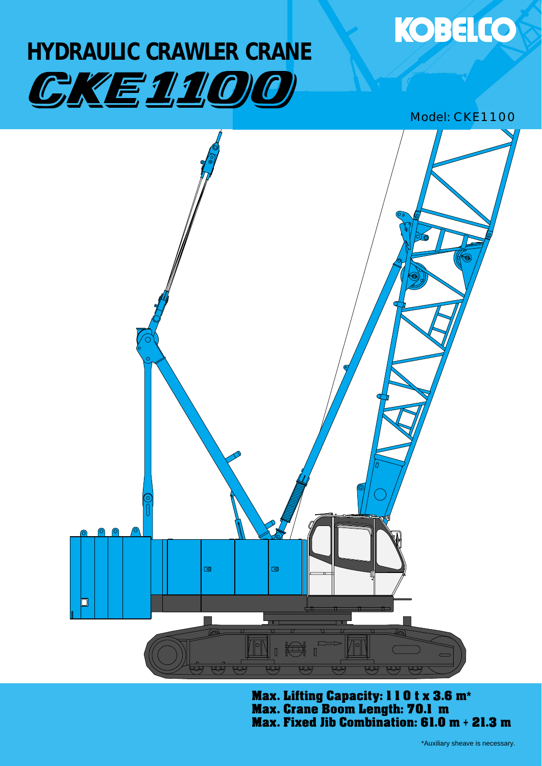# **HYDRAULIC CRAWLER CRANE** CKE1100

## Model: CKE1100

**KOBELCO** 



Max. Lifting Capacity: 110 t x 3.6 m**\*** Max. Crane Boom Length: 70.1 m Max. Fixed Jib Combination: 61.0 m **+** 21.3 m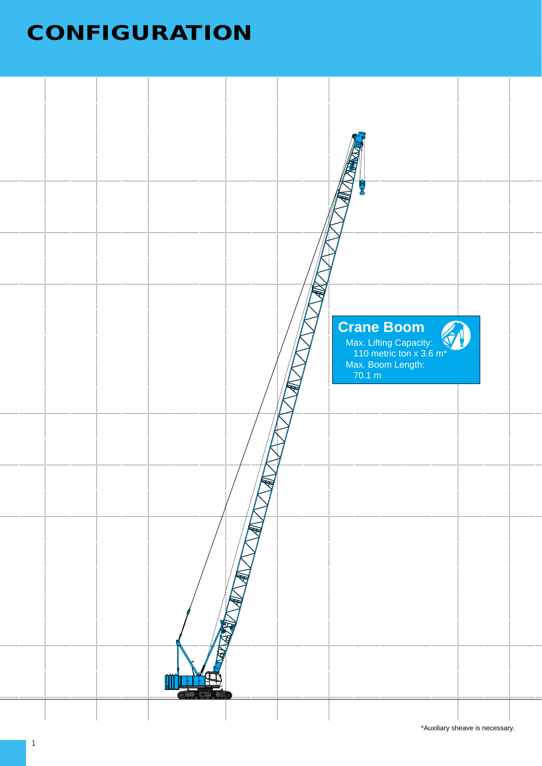# **CONFIGURATION**

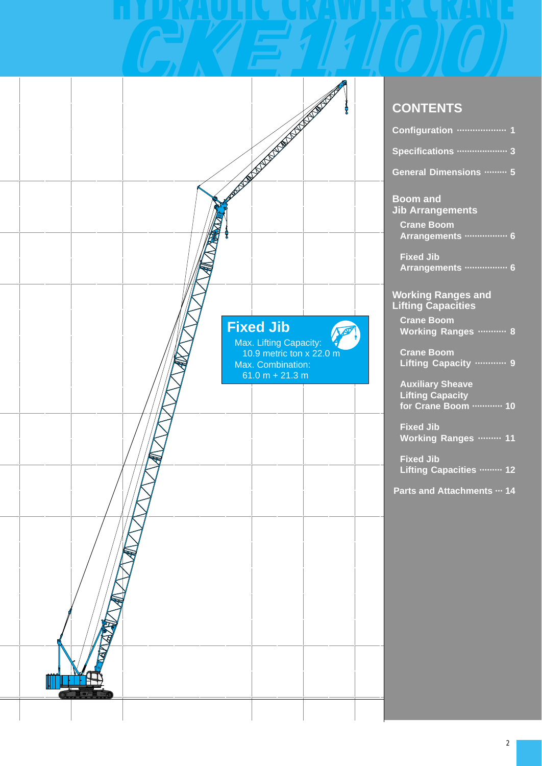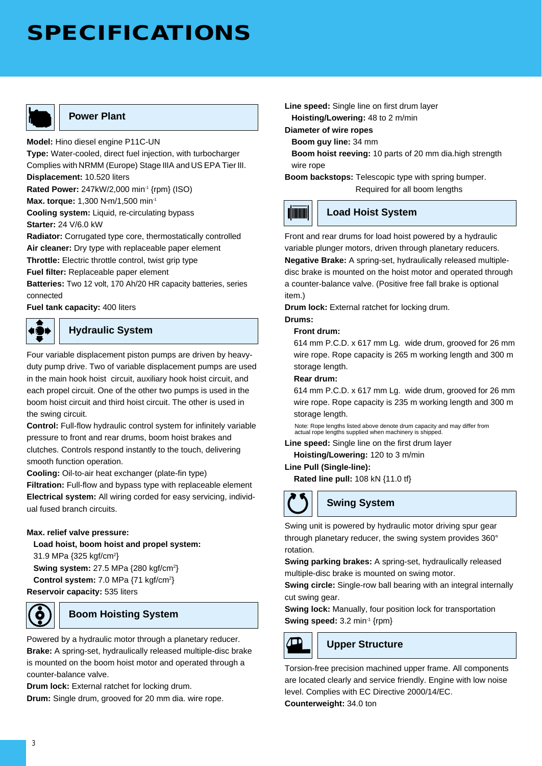# **SPECIFICATIONS**



## **Power Plant**

**Model:** Hino diesel engine P11C-UN **Type:** Water-cooled, direct fuel injection, with turbocharger Complies with NRMM (Europe) Stage IIIA and US EPA Tier III. **Displacement:** 10.520 liters **Rated Power:** 247kW/2,000 min<sup>-1</sup> {rpm} (ISO)

**Max. torque:** 1,300 N•m/1,500 min-1

**Cooling system:** Liquid, re-circulating bypass **Starter:** 24 V/6.0 kW

**Radiator:** Corrugated type core, thermostatically controlled **Air cleaner:** Dry type with replaceable paper element

**Throttle:** Electric throttle control, twist grip type

**Fuel filter:** Replaceable paper element

**Batteries:** Two 12 volt, 170 Ah/20 HR capacity batteries, series connected

**Fuel tank capacity:** 400 liters

### **Hydraulic System**

Four variable displacement piston pumps are driven by heavyduty pump drive. Two of variable displacement pumps are used in the main hook hoist circuit, auxiliary hook hoist circuit, and each propel circuit. One of the other two pumps is used in the boom hoist circuit and third hoist circuit. The other is used in the swing circuit.

**Control:** Full-flow hydraulic control system for infinitely variable pressure to front and rear drums, boom hoist brakes and clutches. Controls respond instantly to the touch, delivering smooth function operation.

**Cooling:** Oil-to-air heat exchanger (plate-fin type)

**Filtration:** Full-flow and bypass type with replaceable element **Electrical system:** All wiring corded for easy servicing, individual fused branch circuits.

#### **Max. relief valve pressure:**

**Load hoist, boom hoist and propel system:** 

31.9 MPa {325 kgf/cm<sup>2</sup>} **Swing system:** 27.5 MPa {280 kgf/cm<sup>2</sup>}

**Control system:** 7.0 MPa {71 kgf/cm2 } **Reservoir capacity:** 535 liters



### **Boom Hoisting System**

Powered by a hydraulic motor through a planetary reducer. **Brake:** A spring-set, hydraulically released multiple-disc brake is mounted on the boom hoist motor and operated through a counter-balance valve.

**Drum lock:** External ratchet for locking drum. **Drum:** Single drum, grooved for 20 mm dia. wire rope. **Line speed:** Single line on first drum layer **Hoisting/Lowering:** 48 to 2 m/min

**Diameter of wire ropes**

**Boom guy line:** 34 mm

**Boom hoist reeving:** 10 parts of 20 mm dia.high strength wire rope

**Boom backstops:** Telescopic type with spring bumper. Required for all boom lengths



#### **Load Hoist System**

Front and rear drums for load hoist powered by a hydraulic variable plunger motors, driven through planetary reducers. **Negative Brake:** A spring-set, hydraulically released multipledisc brake is mounted on the hoist motor and operated through a counter-balance valve. (Positive free fall brake is optional item.)

**Drum lock:** External ratchet for locking drum.

## **Drums:**

### **Front drum:**

614 mm P.C.D. x 617 mm Lg. wide drum, grooved for 26 mm wire rope. Rope capacity is 265 m working length and 300 m storage length.

#### **Rear drum:**

614 mm P.C.D. x 617 mm Lg. wide drum, grooved for 26 mm wire rope. Rope capacity is 235 m working length and 300 m storage length.

Note: Rope lengths listed above denote drum capacity and may differ from actual rope lengths supplied when machinery is shipped.

**Line speed:** Single line on the first drum layer **Hoisting/Lowering:** 120 to 3 m/min

### **Line Pull (Single-line):**

**Rated line pull:** 108 kN {11.0 tf}



### **Swing System**

Swing unit is powered by hydraulic motor driving spur gear through planetary reducer, the swing system provides 360° rotation.

**Swing parking brakes:** A spring-set, hydraulically released multiple-disc brake is mounted on swing motor.

**Swing circle:** Single-row ball bearing with an integral internally cut swing gear.

**Swing lock:** Manually, four position lock for transportation **Swing speed:** 3.2 min<sup>-1</sup> {rpm}



#### **Upper Structure**

Torsion-free precision machined upper frame. All components are located clearly and service friendly. Engine with low noise level. Complies with EC Directive 2000/14/EC.

**Counterweight:** 34.0 ton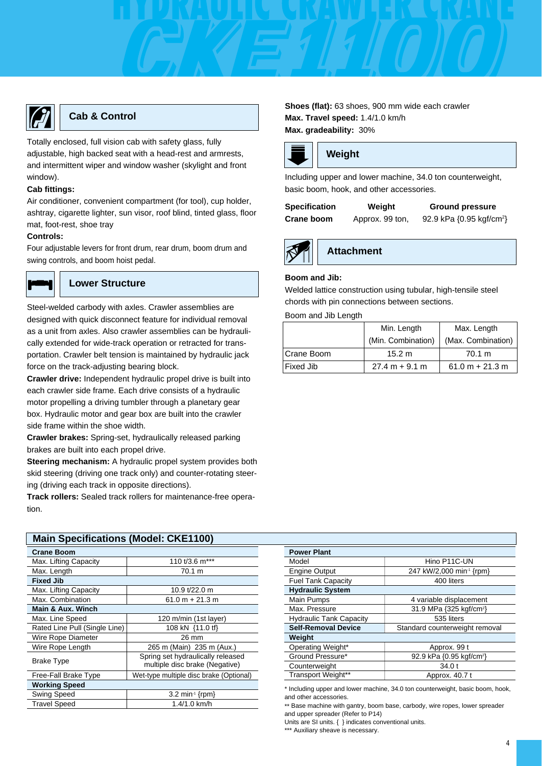

### **Cab & Control**

Totally enclosed, full vision cab with safety glass, fully adjustable, high backed seat with a head-rest and armrests, and intermittent wiper and window washer (skylight and front window).

#### **Cab fittings:**

Air conditioner, convenient compartment (for tool), cup holder, ashtray, cigarette lighter, sun visor, roof blind, tinted glass, floor mat, foot-rest, shoe tray

#### **Controls:**

Four adjustable levers for front drum, rear drum, boom drum and swing controls, and boom hoist pedal.



#### **Lower Structure**

Steel-welded carbody with axles. Crawler assemblies are designed with quick disconnect feature for individual removal as a unit from axles. Also crawler assemblies can be hydraulically extended for wide-track operation or retracted for transportation. Crawler belt tension is maintained by hydraulic jack force on the track-adjusting bearing block.

**Crawler drive:** Independent hydraulic propel drive is built into each crawler side frame. Each drive consists of a hydraulic motor propelling a driving tumbler through a planetary gear box. Hydraulic motor and gear box are built into the crawler side frame within the shoe width.

**Crawler brakes:** Spring-set, hydraulically released parking brakes are built into each propel drive.

**Steering mechanism:** A hydraulic propel system provides both skid steering (driving one track only) and counter-rotating steering (driving each track in opposite directions).

**Track rollers:** Sealed track rollers for maintenance-free operation.

| <b>Main Specifications (Model: CKE1100)</b> |                                                                     |  |  |  |  |
|---------------------------------------------|---------------------------------------------------------------------|--|--|--|--|
| <b>Crane Boom</b>                           |                                                                     |  |  |  |  |
| Max. Lifting Capacity                       | 110 t/3.6 m***                                                      |  |  |  |  |
| Max. Length                                 | 70.1 m                                                              |  |  |  |  |
| <b>Fixed Jib</b>                            |                                                                     |  |  |  |  |
| Max. Lifting Capacity                       | 10.9 t/22.0 m                                                       |  |  |  |  |
| Max. Combination                            | $61.0 m + 21.3 m$                                                   |  |  |  |  |
| Main & Aux. Winch                           |                                                                     |  |  |  |  |
| Max. Line Speed                             | 120 m/min (1st layer)                                               |  |  |  |  |
| Rated Line Pull (Single Line)               | 108 kN {11.0 tf}                                                    |  |  |  |  |
| Wire Rope Diameter                          | 26 mm                                                               |  |  |  |  |
| Wire Rope Length                            | 265 m (Main) 235 m (Aux.)                                           |  |  |  |  |
| Brake Type                                  | Spring set hydraulically released<br>multiple disc brake (Negative) |  |  |  |  |
| Free-Fall Brake Type                        | Wet-type multiple disc brake (Optional)                             |  |  |  |  |
| <b>Working Speed</b>                        |                                                                     |  |  |  |  |
| Swing Speed                                 | $3.2 \text{ min}^{\text{-}} \{\text{rpm}\}$                         |  |  |  |  |
| <b>Travel Speed</b>                         | 1.4/1.0 km/h                                                        |  |  |  |  |

#### **Shoes (flat):** 63 shoes, 900 mm wide each crawler **Max. Travel speed:** 1.4/1.0 km/h **Max. gradeability:** 30%



# **Weight**

Including upper and lower machine, 34.0 ton counterweight, basic boom, hook, and other accessories.

| Specification | Weight        |  |  |  |  |
|---------------|---------------|--|--|--|--|
| Crane boom    | Approx, 99 to |  |  |  |  |

**Attachment**

**Ground pressure** 

**Crane boom** Approx. 99 ton, 92.9 kPa {0.95 kgf/cm<sup>2</sup>}





### **Boom and Jib:**

Welded lattice construction using tubular, high-tensile steel chords with pin connections between sections.

Boom and Jib Length

|            | Min. Length        | Max. Length        |  |  |
|------------|--------------------|--------------------|--|--|
|            | (Min. Combination) | (Max. Combination) |  |  |
| Crane Boom | 15.2 m             | 70.1 m             |  |  |
| Fixed Jib  | $27.4 m + 9.1 m$   | $61.0 m + 21.3 m$  |  |  |

| <b>Power Plant</b>                                           |                                      |  |  |
|--------------------------------------------------------------|--------------------------------------|--|--|
| Model                                                        | Hino P11C-UN                         |  |  |
| <b>Engine Output</b>                                         | 247 kW/2,000 min <sup>-1</sup> {rpm} |  |  |
| <b>Fuel Tank Capacity</b>                                    | 400 liters                           |  |  |
| <b>Hydraulic System</b>                                      |                                      |  |  |
| Main Pumps                                                   | 4 variable displacement              |  |  |
| Max. Pressure                                                | 31.9 MPa {325 kgf/cm <sup>2</sup> }  |  |  |
| <b>Hydraulic Tank Capacity</b>                               | 535 liters                           |  |  |
| <b>Self-Removal Device</b><br>Standard counterweight removal |                                      |  |  |
| Weight                                                       |                                      |  |  |
| Operating Weight*                                            | Approx. 99 t                         |  |  |
| Ground Pressure*                                             | 92.9 kPa {0.95 kgf/cm <sup>2</sup> } |  |  |
| Counterweight                                                | 34.0t                                |  |  |
| Transport Weight**                                           | Approx. 40.7 t                       |  |  |

ling upper and lower machine, 34.0 ton counterweight, basic boom, hook, and other accessories.

\*\* Base machine with gantry, boom base, carbody, wire ropes, lower spreader and upper spreader (Refer to P14)

Units are SI units. { } indicates conventional units.

\*\*\* Auxiliary sheave is necessary.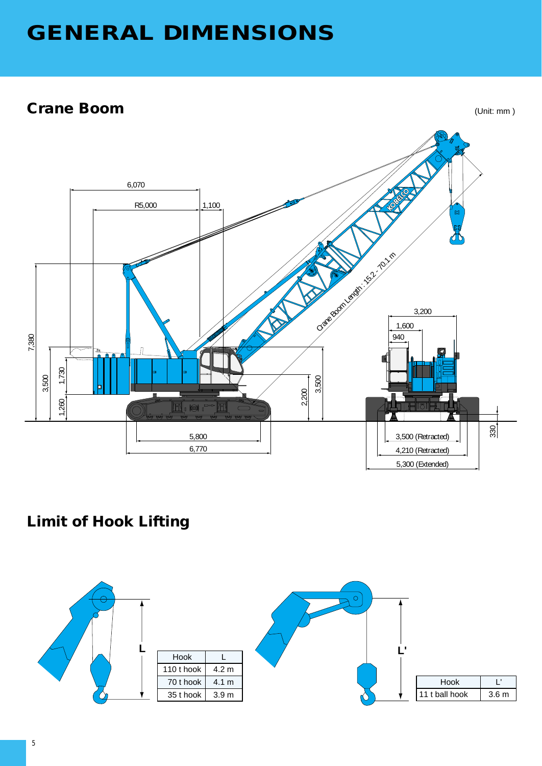# **GENERAL DIMENSIONS**

# **Crane Boom**

(Unit: mm )



# **Limit of Hook Lifting**

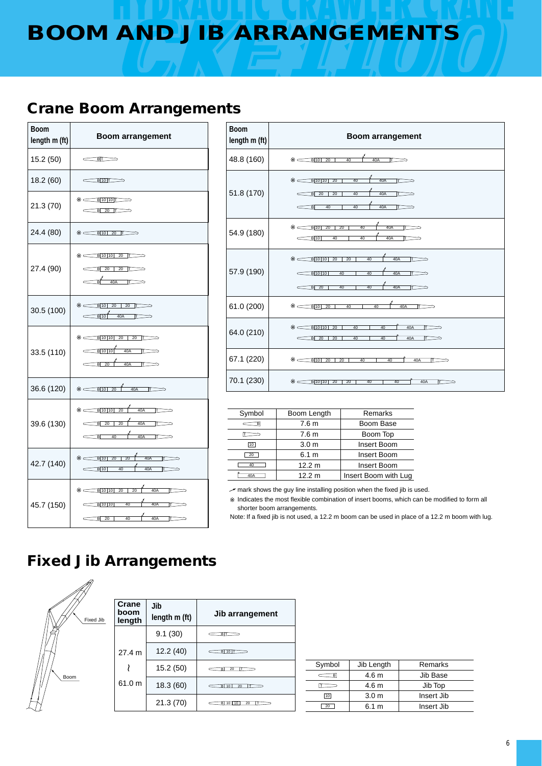# **BOOM AND JIB ARRANGEMENTS**

# **Crane Boom Arrangements**

| <b>Boom</b><br>length m (ft) | <b>Boom arrangement</b>                                                                                               |
|------------------------------|-----------------------------------------------------------------------------------------------------------------------|
| 15.2 (50)                    | $\leftarrow$ BT                                                                                                       |
| 18.2 (60)                    | B10                                                                                                                   |
| 21.3 (70)                    | B1010T<br>$\overline{\mathsf{B}}$ 20 $\overline{\mathsf{I}}$                                                          |
| 24.4 (80)                    | $B$ 10 20 $T \rightarrow$                                                                                             |
| 27.4 (90)                    | $B$ 10 10 20 T<br>B 20 20 T<br>₫Ĺ<br>40A<br>$\overline{\mathbb{D}}$                                                   |
| 30.5 (100)                   | $B$ 10 20 20 $T \rightarrow$<br>$\frac{1}{\sqrt{10}}$ $\frac{40A}{\sqrt{10}}$                                         |
| 33.5 (110)                   | $B[10]10$ 20 20 T<br>$\overline{B}$ 10 10 40A $\overline{L}$<br><b>B</b> 20<br>40A<br>$\Box$                          |
| 36.6 (120)                   | 40A<br>B 10 20<br>$\Box$                                                                                              |
| 39.6 (130)                   | B 10 10<br>40A<br>20<br>╥<br>20<br>40A<br><b>B</b> 20<br>┲<br>40A<br>$\overline{B}$<br>40<br>π                        |
| 42.7 (140)                   | 40A<br>$\overline{20}$<br>B 10 20<br>$\Box$<br>40A<br>$B$ 10<br>40<br>$\overline{ }$<br>$\overline{\phantom{0}}$      |
| 45.7 (150)                   | $\sim$ B 10 10  20   20  <br>40A<br>$\overline{\mathbb{L}}$<br>40A<br>B 10 10<br>40<br>π<br>$-40$<br>40A<br>B 20<br>т |

| <b>Boom</b><br>length m (ft) | <b>Boom arrangement</b>                                                                                                                             |
|------------------------------|-----------------------------------------------------------------------------------------------------------------------------------------------------|
| 48.8 (160)                   | $B$ 10<br>$\overline{20}$<br>40A<br>40<br>⊤⊐                                                                                                        |
| 51.8 (170)                   | B 10 10<br>$\overline{20}$<br>40A<br>40<br>Γ⇒<br>$\subset$<br>20<br>40A<br>$B$ 20<br>40<br>π<br>40<br>40A<br>$\overline{B}$<br>40<br>ΙT             |
| 54.9 (180)                   | 20<br>40<br>40A<br><b>B</b> 10<br>20<br>40A<br><b>B</b> 10<br>40<br>40                                                                              |
| 57.9 (190)                   | 40A<br>40<br>B 10 10<br>$\overline{20}$<br>$\overline{20}$<br><b>آ</b><br>40A<br>B 10 10<br>40<br>40<br>┳<br>40A<br>$B$ 20<br>40<br>40<br>$\subset$ |
| 61.0 (200)                   | 40A<br><b>B</b> 10<br>20<br>40<br>40<br>ıт                                                                                                          |
| 64.0 (210)                   | B 10 10<br>20<br>40<br>40<br>40A<br>$\overline{r}$ $\Rightarrow$<br>40A<br>$B$ 20<br>20<br>40<br>40<br>l۳                                           |
| 67.1 (220)                   | 20<br><b>B</b> 10<br>20<br>40<br>40<br>40A<br>IT.                                                                                                   |
| 70.1 (230)                   | 40A<br>B 10 10<br>20<br>20<br>40<br>40<br>т                                                                                                         |

| Symbol      | Boom Length      | Remarks              |
|-------------|------------------|----------------------|
|             | 7.6 <sub>m</sub> | Boom Base            |
|             | 7.6 <sub>m</sub> | Boom Top             |
| $\sqrt{10}$ | 3.0 <sub>m</sub> | <b>Insert Boom</b>   |
| 20          | 6.1 m            | Insert Boom          |
| 40          | 12.2 m           | <b>Insert Boom</b>   |
| 40A         | 12.2 m           | Insert Boom with Lug |
|             |                  |                      |

mark shows the guy line installing position when the fixed jib is used. Indicates the most flexible combination of insert booms, which can be modified to form all

shorter boom arrangements. Note: If a fixed jib is not used, a 12.2 m boom can be used in place of a 12.2 m boom with lug.

# **Fixed Jib Arrangements**



| Crane<br>boom<br>length | Jib<br>length m (ft) | Jib arrangement             |
|-------------------------|----------------------|-----------------------------|
|                         | 9.1(30)              | вn                          |
| 27.4 m                  | 12.2 (40)            | <b>B</b> 10 F               |
|                         | 15.2 (50)            | 20<br>BI                    |
| 61.0 m                  | 18.3(60)             | <b>B</b> 10<br>20           |
|                         | 21.3 (70)            | 20<br>в.<br>$10^{-1}$<br>10 |

| Symbol | Jib Length       | Remarks    |
|--------|------------------|------------|
|        | 4.6 <sub>m</sub> | Jib Base   |
|        | 4.6 m            | Jib Top    |
| 10     | 3.0 <sub>m</sub> | Insert Jib |
| 20     | 6.1 m            | Insert Jib |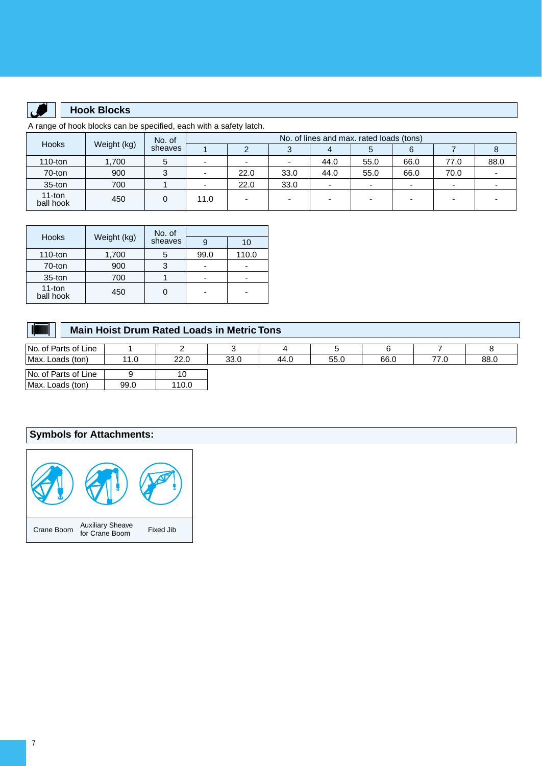

### **Hook Blocks**

A range of hook blocks can be specified, each with a safety latch.

| Weight (kg)<br><b>Hooks</b> | No. of  | No. of lines and max. rated loads (tons) |                          |      |                          |                          |      |      |                          |      |
|-----------------------------|---------|------------------------------------------|--------------------------|------|--------------------------|--------------------------|------|------|--------------------------|------|
|                             | sheaves |                                          |                          |      |                          | G                        |      |      |                          |      |
| $110$ -ton                  | .700    |                                          | $\overline{\phantom{0}}$ |      |                          | 44.0                     | 55.0 | 66.0 | 77.0                     | 88.0 |
| 70-ton                      | 900     |                                          | $\overline{\phantom{0}}$ | 22.0 | 33.0                     | 44.0                     | 55.0 | 66.0 | 70.0                     |      |
| $35$ -ton                   | 700     |                                          | $\overline{\phantom{0}}$ | 22.0 | 33.0                     | $\overline{\phantom{0}}$ |      |      | $\overline{\phantom{0}}$ |      |
| 11-ton<br>ball hook         | 450     | 0                                        | 11.0                     |      | $\overline{\phantom{0}}$ | $\overline{\phantom{0}}$ | -    |      |                          |      |

| <b>Hooks</b>        |             | No. of  |      |       |  |
|---------------------|-------------|---------|------|-------|--|
|                     | Weight (kg) | sheaves |      | 10    |  |
| $110$ -ton          | 1,700       | 5       | 99.0 | 110.0 |  |
| 70-ton              | 900         | 3       | ۰    |       |  |
| $35$ -ton           | 700         |         |      |       |  |
| 11-ton<br>ball hook | 450         |         | -    |       |  |

| <b>dimining</b><br><b>Main Hoist Drum Rated Loads in Metric Tons</b> |      |       |      |      |      |      |      |      |
|----------------------------------------------------------------------|------|-------|------|------|------|------|------|------|
| No. of Parts of Line                                                 |      |       |      |      |      |      |      |      |
| Max. Loads (ton)                                                     | 11.0 | 22.0  | 33.0 | 44.0 | 55.0 | 66.0 | 77.0 | 88.0 |
| No. of Parts of Line                                                 |      | 10    |      |      |      |      |      |      |
| Max. Loads (ton)                                                     | 99.0 | 110.0 |      |      |      |      |      |      |

## **Symbols for Attachments:**

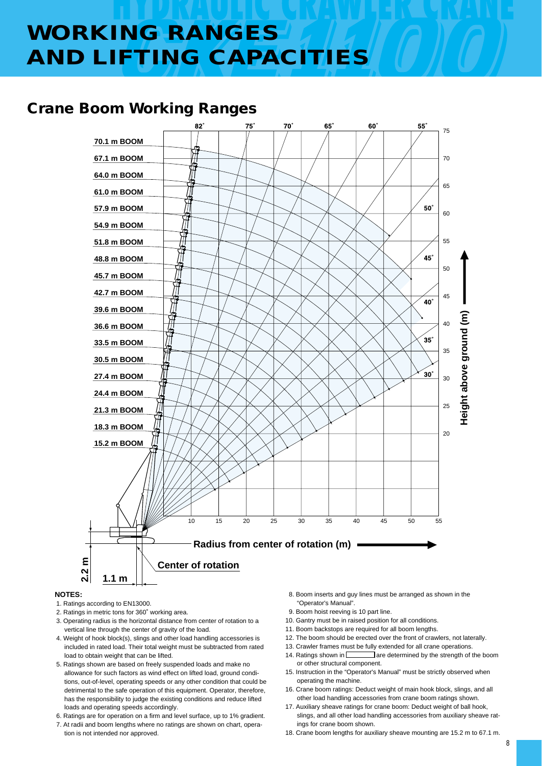# **WORKING RANGES AND LIFTING CAPACITIES**

# **Crane Boom Working Ranges**



#### **NOTES:**

- 1. Ratings according to EN13000.
- 2. Ratings in metric tons for 360˚ working area.
- 3. Operating radius is the horizontal distance from center of rotation to a vertical line through the center of gravity of the load.
- 4. Weight of hook block(s), slings and other load handling accessories is included in rated load. Their total weight must be subtracted from rated load to obtain weight that can be lifted.
- 5. Ratings shown are based on freely suspended loads and make no allowance for such factors as wind effect on lifted load, ground conditions, out-of-level, operating speeds or any other condition that could be detrimental to the safe operation of this equipment. Operator, therefore, has the responsibility to judge the existing conditions and reduce lifted loads and operating speeds accordingly.
- 6. Ratings are for operation on a firm and level surface, up to 1% gradient.
- 7. At radii and boom lengths where no ratings are shown on chart, operation is not intended nor approved.
- 8. Boom inserts and guy lines must be arranged as shown in the "Operator's Manual".
- 9. Boom hoist reeving is 10 part line.
- 10. Gantry must be in raised position for all conditions.
- 11. Boom backstops are required for all boom lengths.
- 12. The boom should be erected over the front of crawlers, not laterally.
- 13. Crawler frames must be fully extended for all crane operations.
- 14. Ratings shown in **Figure 3** are determined by the strength of the boom or other structural component.
- 15. Instruction in the "Operator's Manual" must be strictly observed when operating the machine.
- 16. Crane boom ratings: Deduct weight of main hook block, slings, and all other load handling accessories from crane boom ratings shown.
- 17. Auxiliary sheave ratings for crane boom: Deduct weight of ball hook, slings, and all other load handling accessories from auxiliary sheave ratings for crane boom shown.
- 18. Crane boom lengths for auxiliary sheave mounting are 15.2 m to 67.1 m.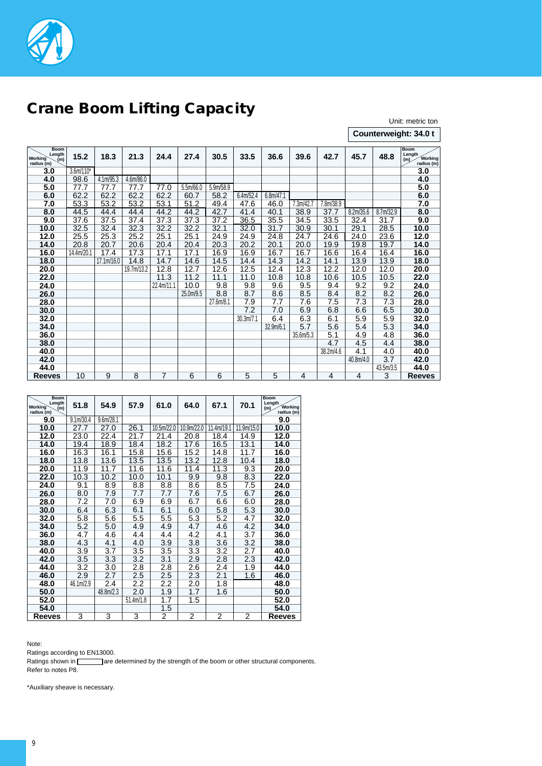

# **Crane Boom Lifting Capacity**

Unit: metric ton

**Counterweight: 34.0 t**

| <b>Boom</b><br>Length<br><b>Working</b><br>(m)<br>radius (m) | 15.2        | 18.3       | 21.3       | 24.4           | 27.4      | 30.5      | 33.5      | 36.6      | 39.6      | 42.7      | 45.7      | 48.8             | <b>Boom</b><br>Length<br>Working<br>(m)<br>radius (m) |
|--------------------------------------------------------------|-------------|------------|------------|----------------|-----------|-----------|-----------|-----------|-----------|-----------|-----------|------------------|-------------------------------------------------------|
| 3.0                                                          | $3.6m/110*$ |            |            |                |           |           |           |           |           |           |           |                  | 3.0                                                   |
| 4.0                                                          | 98.6        | 4.1m/95.3  | 4.6m/86.0  |                |           |           |           |           |           |           |           |                  | 4.0                                                   |
| 5.0                                                          | 77.7        | 77.7       | 77.7       | 77.0           | 5.5m/66.0 | 5.9m/58.9 |           |           |           |           |           |                  | 5.0                                                   |
| 6.0                                                          | 62.2        | 62.2       | 62.2       | 62.2           | 60.7      | 58.2      | 6.4m/52.4 | 6.8m/47.1 |           |           |           |                  | 6.0                                                   |
| 7.0                                                          | 53.3        | 53.2       | 53.2       | 53.1           | 51.2      | 49.4      | 47.6      | 46.0      | 7.3m/42.7 | 7.8m/38.9 |           |                  | 7.0                                                   |
| 8.0                                                          | 44.5        | 44.4       | 44.4       | 44.2           | 44.2      | 42.7      | 41.4      | 40.1      | 38.9      | 37.7      | 8.2m/35.6 | 8.7m/32.9        | 8.0                                                   |
| 9.0                                                          | 37.6        | 37.5       | 37.4       | 37.3           | 37.3      | 37.2      | 36.5      | 35.5      | 34.5      | 33.5      | 32.4      | 31.7             | 9.0                                                   |
| 10.0                                                         | 32.5        | 32.4       | 32.3       | 32.2           | 32.2      | 32.1      | 32.0      | 31.7      | 30.9      | 30.1      | 29.1      | 28.5             | 10.0                                                  |
| 12.0                                                         | 25.5        | 25.3       | 25.2       | 25.1           | 25.1      | 24.9      | 24.9      | 24.8      | 24.7      | 24.6      | 24.0      | 23.6             | 12.0                                                  |
| 14.0                                                         | 20.8        | 20.7       | 20.6       | 20.4           | 20.4      | 20.3      | 20.2      | 20.1      | 20.0      | 19.9      | 19.8      | 19.7             | 14.0                                                  |
| 16.0                                                         | 14.4m/20.1  | 17.4       | 17.3       | 17.1           | 17.1      | 16.9      | 16.9      | 16.7      | 16.7      | 16.6      | 16.4      | 16.4             | 16.0                                                  |
| 18.0                                                         |             | 17.1m/16.0 | 14.8       | 14.7           | 14.6      | 14.5      | 14.4      | 14.3      | 14.2      | 14.1      | 13.9      | 13.9             | 18.0                                                  |
| 20.0                                                         |             |            | 19.7m/13.2 | 12.8           | 12.7      | 12.6      | 12.5      | 12.4      | 12.3      | 12.2      | 12.0      | 12.0             | 20.0                                                  |
| 22.0                                                         |             |            |            | 11.3           | 11.2      | 11.1      | 11.0      | 10.8      | 10.8      | 10.6      | 10.5      | 10.5             | 22.0                                                  |
| 24.0                                                         |             |            |            | 22.4m/11.1     | 10.0      | 9.8       | 9.8       | 9.6       | 9.5       | 9.4       | 9.2       | 9.2              | 24.0                                                  |
| 26.0                                                         |             |            |            |                | 25.0m/9.5 | 8.8       | 8.7       | 8.6       | 8.5       | 8.4       | 8.2       | 8.2              | 26.0                                                  |
| 28.0                                                         |             |            |            |                |           | 27.6m/8.1 | 7.9       | 7.7       | 7.6       | 7.5       | 7.3       | $\overline{7.3}$ | 28.0                                                  |
| 30.0                                                         |             |            |            |                |           |           | 7.2       | 7.0       | 6.9       | 6.8       | 6.6       | 6.5              | 30.0                                                  |
| 32.0                                                         |             |            |            |                |           |           | 30.3m/7.1 | 6.4       | 6.3       | 6.1       | 5.9       | 5.9              | 32.0                                                  |
| 34.0                                                         |             |            |            |                |           |           |           | 32.9m/6.1 | 5.7       | 5.6       | 5.4       | 5.3              | 34.0                                                  |
| 36.0                                                         |             |            |            |                |           |           |           |           | 35.6m/5.3 | 5.1       | 4.9       | 4.8              | 36.0                                                  |
| 38.0                                                         |             |            |            |                |           |           |           |           |           | 4.7       | 4.5       | 4.4              | 38.0                                                  |
| 40.0                                                         |             |            |            |                |           |           |           |           |           | 38.2m/4.6 | 4.1       | 4.0              | 40.0                                                  |
| 42.0                                                         |             |            |            |                |           |           |           |           |           |           | 40.8m/4.0 | $\overline{3.7}$ | 42.0                                                  |
| 44.0                                                         |             |            |            |                |           |           |           |           |           |           |           | 43.5m/3.5        | 44.0                                                  |
| <b>Reeves</b>                                                | 10          | 9          | 8          | $\overline{7}$ | 6         | 6         | 5         | 5         | 4         | 4         | 4         | $\overline{3}$   | <b>Reeves</b>                                         |

| <b>Boom</b><br>Length<br><b>Working</b><br>(m)<br>radius (m) | 51.8                   | 54.9      | 57.9      | 61.0             | 64.0             | 67.1             | 70.1       | <b>Boom</b><br>Length<br><b>Working</b><br>(m)<br>radius (m) |
|--------------------------------------------------------------|------------------------|-----------|-----------|------------------|------------------|------------------|------------|--------------------------------------------------------------|
| 9.0                                                          | 9.1 <sub>m</sub> /30.4 | 9.6m/28.1 |           |                  |                  |                  |            | 9.0                                                          |
| 10.0                                                         | 27.7                   | 27.0      | 26.1      | 10.5m/22.0       | 10.9m/22.0       | 11.4m/19.1       | 11.9m/15.0 | 10.0                                                         |
| 12.0                                                         | 23.0                   | 22.4      | 21.7      | 21<br>$\cdot$    | 20.8             | 18.4             | 14.9       | 12.0                                                         |
| 14.0                                                         | 19.4                   | 18.9      | 18.4      | 18.2             | 17.6             | 16.5             | 13.1       | 14.0                                                         |
| 16.0                                                         | 16.3                   | 16.1      | 15.8      | 15.6             | 15.2             | 14.8             | 11.7       | 16.0                                                         |
| 18.0                                                         | 13.8                   | 13.6      | 13.5      | 13.5             | 13.2             | 12.8             | 10.4       | 18.0                                                         |
| 20.0                                                         | 11.9                   | 11.7      | 11.6      | 11.6             | 11.4             | 11.3             | 9.3        | 20.0                                                         |
| 22.0                                                         | 10.3                   | 10.2      | 10.0      | 10.1             | 9.9              | 9.8              | 8.3        | 22.0                                                         |
| 24.0                                                         | 9.1                    | 8.9       | 8.8       | 8.8              | 8.6              | 8.5              | 7.5        | 24.0                                                         |
| 26.0                                                         | 8.0                    | 7.9       | 7.7       | 7.7              | 7.6              | 7.5              | 6.7        | 26.0                                                         |
| 28.0                                                         | 7.2                    | 7.0       | 6.9       | 6.9              | 6.7              | 6.6              | 6.0        | 28.0                                                         |
| 30.0                                                         | 6.4                    | 6.3       | 6.1       | 6.1              | 6.0              | $5.\overline{8}$ | 5.3        | 30.0                                                         |
| 32.0                                                         | 5.8                    | 5.6       | 5.5       | 5.5              | 5.3              | 5.2              | 4.7        | 32.0                                                         |
| 34.0                                                         | 5.2                    | 5.0       | 4.9       | 4.9              | 4.7              | 4.6              | 4.2        | 34.0                                                         |
| 36.0                                                         | 4.7                    | 4.6       | 4.4       | 4.4              | 4.2              | 4.1              | 3.7        | 36.0                                                         |
| 38.0                                                         | $\overline{4.3}$       | 4.1       | 4.0       | $\overline{3.9}$ | $\overline{3.8}$ | 3.6              | 3.2        | 38.0                                                         |
| 40.0                                                         | 3.9                    | 3.7       | 3.5       | 3.5              | 3.3              | 3.2              | 2.7        | 40.0                                                         |
| 42.0                                                         | $\overline{3.5}$       | 3.3       | 3.2       | 3.1              | $\overline{2.9}$ | 2.8              | 2.3        | 42.0                                                         |
| 44.0                                                         | 3.2                    | 3.0       | 2.8       | $\overline{2.8}$ | 2.6              | 2.4              | 1.9        | 44.0                                                         |
| 46.0                                                         | 2.9                    | 2.7       | 2.5       | 2.5              | 2.3              | 2.1              | 1.6        | 46.0                                                         |
| 48.0                                                         | 46.1m/2.9              | 2.4       | 2.2       | 2.2              | 2.0              | 1.8              |            | 48.0                                                         |
| 50.0                                                         |                        | 48.8m/2.3 | 2.0       | 1.9              | 1.7              | 1.6              |            | 50.0                                                         |
| 52.0                                                         |                        |           | 51.4m/1.8 | $\overline{1.7}$ | 1.5              |                  |            | 52.0                                                         |
| 54.0                                                         |                        |           |           | 1.5              |                  |                  |            | 54.0                                                         |
| <b>Reeves</b>                                                | 3                      | 3         | 3         | 2                | 2                | $\overline{2}$   | 2          | <b>Reeves</b>                                                |

Note:

Ratings according to EN13000.

Ratings shown in **Figure 3** are determined by the strength of the boom or other structural components. Refer to notes P8.

\*Auxiliary sheave is necessary.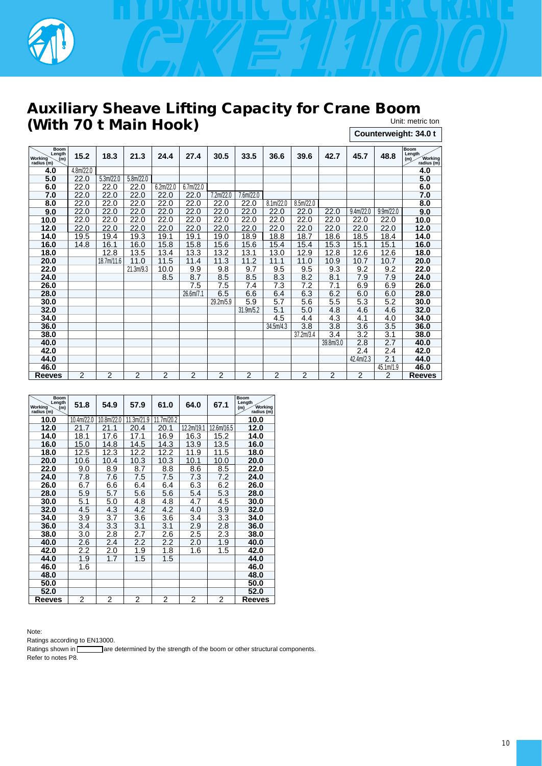

## **Auxiliary Sheave Lifting Capacity for Crane Boom (With 70 t Main Hook)** Unit: metric ton

| UIIII. IIIUIIU IUI    |  |
|-----------------------|--|
| Counterweight: 34.0 t |  |

| <b>Boom</b><br>Length<br><b>Working</b><br>(m)<br>radius (m) | 15.2           | 18.3           | 21.3           | 24.4           | 27.4           | 30.5           | 33.5           | 36.6           | 39.6           | 42.7           | 45.7             | 48.8                   | <b>Boom</b><br>Length<br>Working<br>(m)<br>radius (m) |
|--------------------------------------------------------------|----------------|----------------|----------------|----------------|----------------|----------------|----------------|----------------|----------------|----------------|------------------|------------------------|-------------------------------------------------------|
| 4.0                                                          | 4.8m/22.0      |                |                |                |                |                |                |                |                |                |                  |                        | 4.0                                                   |
| 5.0                                                          | 22.0           | 5.3m/22.0      | 5.8m/22.0      |                |                |                |                |                |                |                |                  |                        | 5.0                                                   |
| 6.0                                                          | 22.0           | 22.0           | 22.0           | 6.2m/22.0      | 6.7m/22.0      |                |                |                |                |                |                  |                        | 6.0                                                   |
| 7.0                                                          | 22.0           | 22.0           | 22.0           | 22.0           | 22.0           | 7.2m/22.0      | 7.6m/22.0      |                |                |                |                  |                        | 7.0                                                   |
| 8.0                                                          | 22.0           | 22.0           | 22.0           | 22.0           | 22.0           | 22.0           | 22.0           | 8.1m/22.0      | 8.5m/22.0      |                |                  |                        | 8.0                                                   |
| 9.0                                                          | 22.0           | 22.0           | 22.0           | 22.0           | 22.0           | 22.0           | 22.0           | 22.0           | 22.0           | 22.0           | 9.4m/22.0        | 9.9 <sub>m</sub> /22.0 | 9.0                                                   |
| 10.0                                                         | 22.0           | 22.0           | 22.0           | 22.0           | 22.0           | 22.0           | 22.0           | 22.0           | 22.0           | 22.0           | 22.0             | 22.0                   | 10.0                                                  |
| 12.0                                                         | 22.0           | 22.0           | 22.0           | 22.0           | 22.0           | 22.0           | 22.0           | 22.0           | 22.0           | 22.0           | 22.0             | 22.0                   | 12.0                                                  |
| 14.0                                                         | 19.5           | 19.4           | 19.3           | 19.1           | 19.1           | 19.0           | 18.9           | 18.8           | 18.7           | 18.6           | 18.5             | 18.4                   | 14.0                                                  |
| 16.0                                                         | 14.8           | 16.1           | 16.0           | 15.8           | 15.8           | 15.6           | 15.6           | 15.4           | 15.4           | 15.3           | 15.1             | 15.1                   | 16.0                                                  |
| 18.0                                                         |                | 12.8           | 13.5           | 13.4           | 13.3           | 13.2           | 13.1           | 13.0           | 12.9           | 12.8           | 12.6             | 12.6                   | 18.0                                                  |
| 20.0                                                         |                | 18.7m/11.6     | 11.0           | 11.5           | 11.4           | 11.3           | 11.2           | 11.1           | 11.0           | 10.9           | 10.7             | 10.7                   | 20.0                                                  |
| 22.0                                                         |                |                | 21.3m/9.3      | 10.0           | 9.9            | 9.8            | 9.7            | 9.5            | 9.5            | 9.3            | 9.2              | 9.2                    | 22.0                                                  |
| 24.0                                                         |                |                |                | 8.5            | 8.7            | 8.5            | 8.5            | 8.3            | 8.2            | 8.1            | 7.9              | 7.9                    | 24.0                                                  |
| 26.0                                                         |                |                |                |                | 7.5            | 7.5            | 7.4            | 7.3            | 7.2            | 7.1            | 6.9              | 6.9                    | 26.0                                                  |
| 28.0                                                         |                |                |                |                | 26.6m/7.1      | 6.5            | 6.6            | 6.4            | 6.3            | 6.2            | 6.0              | 6.0                    | 28.0                                                  |
| 30.0                                                         |                |                |                |                |                | 29.2m/5.9      | 5.9            | 5.7            | 5.6            | 5.5            | 5.3              | 5.2                    | 30.0                                                  |
| 32.0                                                         |                |                |                |                |                |                | 31.9m/5.2      | 5.1            | 5.0            | 4.8            | 4.6              | 4.6                    | 32.0                                                  |
| 34.0                                                         |                |                |                |                |                |                |                | 4.5            | 4.4            | 4.3            | 4.1              | 4.0                    | 34.0                                                  |
| 36.0                                                         |                |                |                |                |                |                |                | 34.5m/4.3      | 3.8            | 3.8            | 3.6              | 3.5                    | 36.0                                                  |
| 38.0                                                         |                |                |                |                |                |                |                |                | 37.2m/3.4      | 3.4            | 3.2              | 3.1                    | 38.0                                                  |
| 40.0                                                         |                |                |                |                |                |                |                |                |                | 39.8m/3.0      | 2.8              | 2.7                    | 40.0                                                  |
| 42.0                                                         |                |                |                |                |                |                |                |                |                |                | $\overline{2.4}$ | $\overline{2.4}$       | 42.0                                                  |
| 44.0                                                         |                |                |                |                |                |                |                |                |                |                | 42.4m/2.3        | 2.1                    | 44.0                                                  |
| 46.0                                                         |                |                |                |                |                |                |                |                |                |                |                  | 45.1m/1.9              | 46.0                                                  |
| <b>Reeves</b>                                                | $\overline{2}$ | $\overline{2}$ | $\overline{2}$ | $\overline{2}$ | $\overline{2}$ | $\overline{2}$ | $\overline{2}$ | $\overline{2}$ | $\overline{2}$ | $\overline{2}$ | $\overline{2}$   | $\overline{2}$         | <b>Reeves</b>                                         |

| <b>Boom</b><br>Length<br><b>Working</b><br>(m)<br>radius (m) | 51.8       | 54.9       | 57.9       | 61.0           | 64.0       | 67.1       | <b>Boom</b><br>Length<br><b>Working</b><br>(m)<br>radius $(m)$ |
|--------------------------------------------------------------|------------|------------|------------|----------------|------------|------------|----------------------------------------------------------------|
| 10.0                                                         | 10.4m/22.0 | 10.8m/22.0 | 11.3m/21.9 | 11.7m/20.2     |            |            | 10.0                                                           |
| 12.0                                                         | 21.7       | 21.1       | 20.4       | 20.1           | 12.2m/19.1 | 12.6m/16.5 | 12.0                                                           |
| 14.0                                                         | 18.1       | 17.6       | 17.1       | 16.9           | 16.3       | 15.2       | 14.0                                                           |
| 16.0                                                         | 15.0       | 14.8       | 14.5       | 14.3           | 13.9       | 13.5       | 16.0                                                           |
| 18.0                                                         | 12.5       | 12.3       | 12.2       | 12.2           | 11.9       | 11.5       | 18.0                                                           |
| 20.0                                                         | 10.6       | 10.4       | 10.3       | 10.3           | 10.1       | 10.0       | 20.0                                                           |
| 22.0                                                         | 9.0        | 8.9        | 8.7        | 8.8            | 8.6        | 8.5        | 22.0                                                           |
| 24.0                                                         | 7.8        | 7.6        | 7.5        | 7.5            | 7.3        | 7.2        | 24.0                                                           |
| 26.0                                                         | 6.7        | 6.6        | 6.4        | 6.4            | 6.3        | 6.2        | 26.0                                                           |
| 28.0                                                         | 5.9        | 5.7        | 5.6        | 5.6            | 5.4        | 5.3        | 28.0                                                           |
| 30.0                                                         | 5.1        | 5.0        | 4.8        | 4.8            | 4.7        | 4.5        | 30.0                                                           |
| 32.0                                                         | 4.5        | 4.3        | 4.2        | 4.2            | 4.0        | 3.9        | 32.0                                                           |
| 34.0                                                         | 3.9        | 3.7        | 3.6        | 3.6            | 3.4        | 3.3        | 34.0                                                           |
| 36.0                                                         | 3.4        | 3.3        | 3.1        | 3.1            | 2.9        | 2.8        | 36.0                                                           |
| 38.0                                                         | 3.0        | 2.8        | 2.7        | 2.6            | 2.5        | 2.3        | 38.0                                                           |
| 40.0                                                         | 2.6        | 2.4        | 2.2        | 2.2            | 2.0        | 1.9        | 40.0                                                           |
| 42.0                                                         | 2.2        | 2.0        | 1.9        | 1.8            | 1.6        | 1.5        | 42.0                                                           |
| 44.0                                                         | 1.9        | 1.7        | 1.5        | 1.5            |            |            | 44.0                                                           |
| 46.0                                                         | 1.6        |            |            |                |            |            | 46.0                                                           |
| 48.0                                                         |            |            |            |                |            |            | 48.0                                                           |
| 50.0                                                         |            |            |            |                |            |            | 50.0                                                           |
| 52.0                                                         |            |            |            |                |            |            | 52.0                                                           |
| Reeves                                                       | 2          | 2          | 2          | $\overline{2}$ | 2          | 2          | <b>Reeves</b>                                                  |

Note:

Ratings according to EN13000.

Ratings shown in **all are determined by the strength of the boom or other structural components.** Refer to notes P8.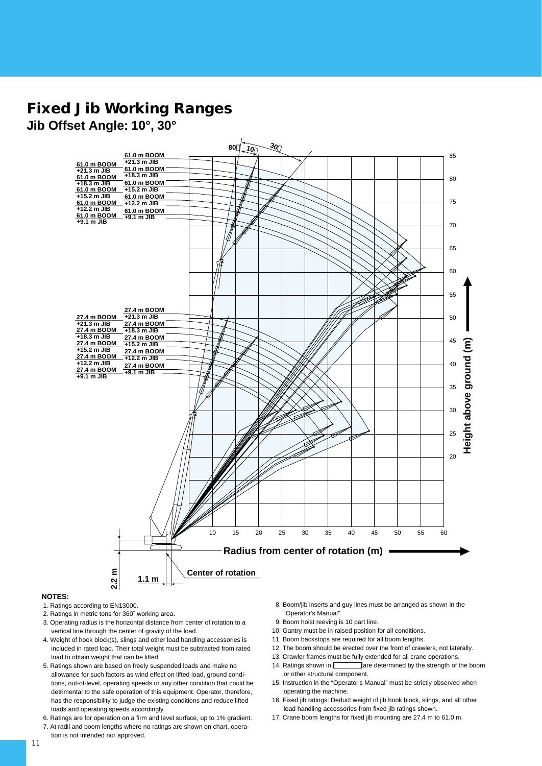# **Fixed Jib Working Ranges**

**Jib Offset Angle: 10°, 30°**



#### **NOTES:**

- 1. Ratings according to EN13000.
- 2. Ratings in metric tons for 360˚ working area.

tion is not intended nor approved.

- 3. Operating radius is the horizontal distance from center of rotation to a vertical line through the center of gravity of the load.
- 4. Weight of hook block(s), slings and other load handling accessories is included in rated load. Their total weight must be subtracted from rated load to obtain weight that can be lifted.
- 5. Ratings shown are based on freely suspended loads and make no allowance for such factors as wind effect on lifted load, ground conditions, out-of-level, operating speeds or any other condition that could be detrimental to the safe operation of this equipment. Operator, therefore, has the responsibility to judge the existing conditions and reduce lifted loads and operating speeds accordingly.
- 6. Ratings are for operation on a firm and level surface, up to 1% gradient.
- 7. At radii and boom lengths where no ratings are shown on chart, opera-
- 8. Boom/jib inserts and guy lines must be arranged as shown in the "Operator's Manual".
- 9. Boom hoist reeving is 10 part line.
- 10. Gantry must be in raised position for all conditions.
- 11. Boom backstops are required for all boom lengths.
- 12. The boom should be erected over the front of crawlers, not laterally.
- 13. Crawler frames must be fully extended for all crane operations. 14. Ratings shown in **are determined by the strength of the boom**
- or other structural component. 15. Instruction in the "Operator's Manual" must be strictly observed when operating the machine.
- 16. Fixed jib ratings: Deduct weight of jib hook block, slings, and all other load handling accessories from fixed jib ratings shown.
- 17. Crane boom lengths for fixed jib mounting are 27.4 m to 61.0 m.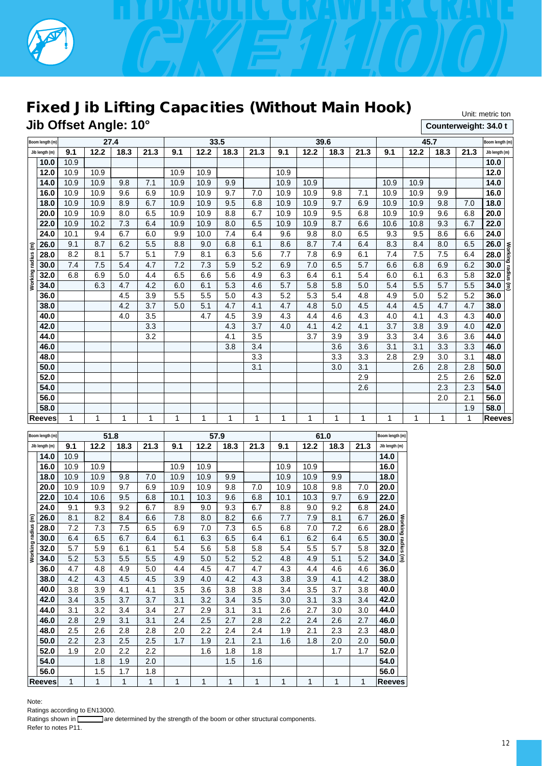

# **Fixed Jib Lifting Capacities (Without Main Hook)**

**Jib Offset Angle: 10°**

Unit: metric ton **Counterweight: 34.0 t**

|                    | Boom length (m) |             | 27.4 |      |      |      |      | 33.5 |      |      |      | 39.6 |      |      | Boom length (m) |      |             |                            |
|--------------------|-----------------|-------------|------|------|------|------|------|------|------|------|------|------|------|------|-----------------|------|-------------|----------------------------|
|                    | Jib length (m)  | 9.1         | 12.2 | 18.3 | 21.3 | 9.1  | 12.2 | 18.3 | 21.3 | 9.1  | 12.2 | 18.3 | 21.3 | 9.1  | 12.2            | 18.3 | 21.3        | Jib length (m)             |
|                    | 10.0            | 10.9        |      |      |      |      |      |      |      |      |      |      |      |      |                 |      |             | 10.0                       |
|                    | 12.0            | 10.9        | 10.9 |      |      | 10.9 | 10.9 |      |      | 10.9 |      |      |      |      |                 |      |             | 12.0                       |
|                    | 14.0            | 10.9        | 10.9 | 9.8  | 7.1  | 10.9 | 10.9 | 9.9  |      | 10.9 | 10.9 |      |      | 10.9 | 10.9            |      |             | 14.0                       |
|                    | 16.0            | 10.9        | 10.9 | 9.6  | 6.9  | 10.9 | 10.9 | 9.7  | 7.0  | 10.9 | 10.9 | 9.8  | 7.1  | 10.9 | 10.9            | 9.9  |             | 16.0                       |
|                    | 18.0            | 10.9        | 10.9 | 8.9  | 6.7  | 10.9 | 10.9 | 9.5  | 6.8  | 10.9 | 10.9 | 9.7  | 6.9  | 10.9 | 10.9            | 9.8  | 7.0         | 18.0                       |
|                    | 20.0            | 10.9        | 10.9 | 8.0  | 6.5  | 10.9 | 10.9 | 8.8  | 6.7  | 10.9 | 10.9 | 9.5  | 6.8  | 10.9 | 10.9            | 9.6  | 6.8         | 20.0                       |
|                    | 22.0            | 10.9        | 10.2 | 7.3  | 6.4  | 10.9 | 10.9 | 8.0  | 6.5  | 10.9 | 10.9 | 8.7  | 6.6  | 10.6 | 10.8            | 9.3  | 6.7         | 22.0                       |
|                    | 24.0            | 10.1        | 9.4  | 6.7  | 6.0  | 9.9  | 10.0 | 7.4  | 6.4  | 9.6  | 9.8  | 8.0  | 6.5  | 9.3  | 9.5             | 8.6  | 6.6         | 24.0                       |
|                    | 26.0            | 9.1         | 8.7  | 6.2  | 5.5  | 8.8  | 9.0  | 6.8  | 6.1  | 8.6  | 8.7  | 7.4  | 6.4  | 8.3  | 8.4             | 8.0  | 6.5         | 26.0                       |
| Working radius (m) | 28.0            | 8.2         | 8.1  | 5.7  | 5.1  | 7.9  | 8.1  | 6.3  | 5.6  | 7.7  | 7.8  | 6.9  | 6.1  | 7.4  | 7.5             | 7.5  | 6.4         | Working radius (m)<br>28.0 |
|                    | 30.0            | 7.4         | 7.5  | 5.4  | 4.7  | 7.2  | 7.3  | 5.9  | 5.2  | 6.9  | 7.0  | 6.5  | 5.7  | 6.6  | 6.8             | 6.9  | 6.2         | 30.0                       |
|                    | 32.0            | 6.8         | 6.9  | 5.0  | 4.4  | 6.5  | 6.6  | 5.6  | 4.9  | 6.3  | 6.4  | 6.1  | 5.4  | 6.0  | 6.1             | 6.3  | 5.8         | 32.0                       |
|                    | 34.0            |             | 6.3  | 4.7  | 4.2  | 6.0  | 6.1  | 5.3  | 4.6  | 5.7  | 5.8  | 5.8  | 5.0  | 5.4  | 5.5             | 5.7  | 5.5         | 34.0                       |
|                    | 36.0            |             |      | 4.5  | 3.9  | 5.5  | 5.5  | 5.0  | 4.3  | 5.2  | 5.3  | 5.4  | 4.8  | 4.9  | 5.0             | 5.2  | 5.2         | 36.0                       |
|                    | 38.0            |             |      | 4.2  | 3.7  | 5.0  | 5.1  | 4.7  | 4.1  | 4.7  | 4.8  | 5.0  | 4.5  | 4.4  | 4.5             | 4.7  | 4.7         | 38.0                       |
|                    | 40.0            |             |      | 4.0  | 3.5  |      | 4.7  | 4.5  | 3.9  | 4.3  | 4.4  | 4.6  | 4.3  | 4.0  | 4.1             | 4.3  | 4.3         | 40.0                       |
|                    | 42.0            |             |      |      | 3.3  |      |      | 4.3  | 3.7  | 4.0  | 4.1  | 4.2  | 4.1  | 3.7  | 3.8             | 3.9  | 4.0         | 42.0                       |
|                    | 44.0            |             |      |      | 3.2  |      |      | 4.1  | 3.5  |      | 3.7  | 3.9  | 3.9  | 3.3  | 3.4             | 3.6  | 3.6         | 44.0                       |
|                    | 46.0            |             |      |      |      |      |      | 3.8  | 3.4  |      |      | 3.6  | 3.6  | 3.1  | 3.1             | 3.3  | 3.3         | 46.0                       |
|                    | 48.0            |             |      |      |      |      |      |      | 3.3  |      |      | 3.3  | 3.3  | 2.8  | 2.9             | 3.0  | 3.1         | 48.0                       |
|                    | 50.0            |             |      |      |      |      |      |      | 3.1  |      |      | 3.0  | 3.1  |      | 2.6             | 2.8  | 2.8         | 50.0                       |
|                    | 52.0            |             |      |      |      |      |      |      |      |      |      |      | 2.9  |      |                 | 2.5  | 2.6         | 52.0                       |
|                    | 54.0            |             |      |      |      |      |      |      |      |      |      |      | 2.6  |      |                 | 2.3  | 2.3         | 54.0                       |
|                    | 56.0            |             |      |      |      |      |      |      |      |      |      |      |      |      |                 | 2.0  | 2.1         | 56.0                       |
|                    | 58.0            |             |      |      |      |      |      |      |      |      |      |      |      |      |                 |      | 1.9         | 58.0                       |
|                    | <b>Reeves</b>   | $\mathbf 1$ | 1    | 1    | 1    | 1    | 1    | 1    | 1    | 1    | 1    | 1    | 1    | 1    | 1               | 1    | $\mathbf 1$ | <b>Reeves</b>              |

|                    | 51.8<br>Boom length (m) |                  |      |      |      |      | 57.9    |      |      | Boom length (m) |      |      |      |                            |  |
|--------------------|-------------------------|------------------|------|------|------|------|---------|------|------|-----------------|------|------|------|----------------------------|--|
|                    | Jib length (m)          | 9.1              | 12.2 | 18.3 | 21.3 | 9.1  | 12.2    | 18.3 | 21.3 | 9.1             | 12.2 | 18.3 | 21.3 | Jib length (m)             |  |
|                    | 14.0                    | 10.9             |      |      |      |      |         |      |      |                 |      |      |      | 14.0                       |  |
|                    | 16.0                    | 10.9             | 10.9 |      |      | 10.9 | 10.9    |      |      | 10.9            | 10.9 |      |      | 16.0                       |  |
|                    | 18.0                    | 10.9             | 10.9 | 9.8  | 7.0  | 10.9 | 10.9    | 9.9  |      | 10.9            | 10.9 | 9.9  |      | 18.0                       |  |
|                    | 20.0                    | 10.9             | 10.9 | 9.7  | 6.9  | 10.9 | 10.9    | 9.8  | 7.0  | 10.9            | 10.8 | 9.8  | 7.0  | 20.0                       |  |
|                    | 22.0                    | 10.4             | 10.6 | 9.5  | 6.8  | 10.1 | 10.3    | 9.6  | 6.8  | 10.1            | 10.3 | 9.7  | 6.9  | 22.0                       |  |
|                    | 24.0                    | 9.1              | 9.3  | 9.2  | 6.7  | 8.9  | 9.0     | 9.3  | 6.7  | 8.8             | 9.0  | 9.2  | 6.8  | 24.0                       |  |
|                    | 26.0                    | 8.1              | 8.2  | 8.4  | 6.6  | 7.8  | 8.0     | 8.2  | 6.6  | 7.7             | 7.9  | 8.1  | 6.7  | 26.0                       |  |
| Working radius (m) | 28.0                    | 7.2              | 7.3  | 7.5  | 6.5  | 6.9  | 7.0     | 7.3  | 6.5  | 6.8             | 7.0  | 7.2  | 6.6  | Working radius (m)<br>28.0 |  |
|                    | 30.0                    | 6.4              | 6.5  | 6.7  | 6.4  | 6.1  | 6.3     | 6.5  | 6.4  | 6.1             | 6.2  | 6.4  | 6.5  | 30.0                       |  |
|                    | 32.0                    | 5.7              | 5.9  | 6.1  | 6.1  | 5.4  | 5.6     | 5.8  | 5.8  | 5.4             | 5.5  | 5.7  | 5.8  | 32.0                       |  |
|                    | 34.0                    | 5.2              | 5.3  | 5.5  | 5.5  | 4.9  | 5.0     | 5.2  | 5.2  | 4.8             | 4.9  | 5.1  | 5.2  | 34.0                       |  |
|                    | 36.0                    | 4.7              | 4.8  | 4.9  | 5.0  | 4.4  | 4.5     | 4.7  | 4.7  | 4.3             | 4.4  | 4.6  | 4.6  | 36.0                       |  |
|                    | 38.0                    | 4.2              | 4.3  | 4.5  | 4.5  | 3.9  | 4.0     | 4.2  | 4.3  | 3.8             | 3.9  | 4.1  | 4.2  | 38.0                       |  |
|                    | 40.0                    | 3.8              | 3.9  | 4.1  | 4.1  | 3.5  | 3.6     | 3.8  | 3.8  | 3.4             | 3.5  | 3.7  | 3.8  | 40.0                       |  |
|                    | 42.0                    | 3.4              | 3.5  | 3.7  | 3.7  | 3.1  | 3.2     | 3.4  | 3.5  | 3.0             | 3.1  | 3.3  | 3.4  | 42.0                       |  |
|                    | 44.0                    | 3.1              | 3.2  | 3.4  | 3.4  | 2.7  | 2.9     | 3.1  | 3.1  | 2.6             | 2.7  | 3.0  | 3.0  | 44.0                       |  |
|                    | 46.0                    | 2.8              | 2.9  | 3.1  | 3.1  | 2.4  | 2.5     | 2.7  | 2.8  | 2.2             | 2.4  | 2.6  | 2.7  | 46.0                       |  |
|                    | 48.0                    | 2.5              | 2.6  | 2.8  | 2.8  | 2.0  | $2.2\,$ | 2.4  | 2.4  | 1.9             | 2.1  | 2.3  | 2.3  | 48.0                       |  |
|                    | 50.0                    | $2.2\phantom{0}$ | 2.3  | 2.5  | 2.5  | 1.7  | 1.9     | 2.1  | 2.1  | 1.6             | 1.8  | 2.0  | 2.0  | 50.0                       |  |
|                    | 52.0                    | 1.9              | 2.0  | 2.2  | 2.2  |      | 1.6     | 1.8  | 1.8  |                 |      | 1.7  | 1.7  | 52.0                       |  |
|                    | 54.0                    |                  | 1.8  | 1.9  | 2.0  |      |         | 1.5  | 1.6  |                 |      |      |      | 54.0                       |  |
|                    | 56.0                    |                  | 1.5  | 1.7  | 1.8  |      |         |      |      |                 |      |      |      | 56.0                       |  |
|                    | Reeves                  | 1                | 1    | 1    | 1    | 1    | 1       | 1    | 1    | 1               | 1    | 1    | 1    | <b>Reeves</b>              |  |

Note:

Ratings according to EN13000.<br>Ratings shown in **Communist** are c Tare determined by the strength of the boom or other structural components. Refer to notes P11.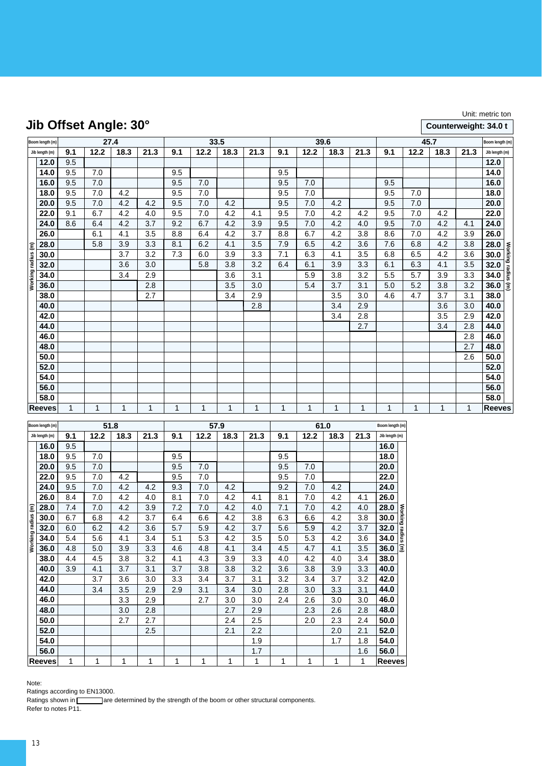# **Jib Offset Angle: 30°**

### Unit: metric ton

### **Counterweight: 34.0 t**

|                    | Boom length (m) | 27.4<br>33.5 |      |      |      |     |      | 39.6        |      |     | Boom length (m) |      |              |     |       |              |      |                |                    |
|--------------------|-----------------|--------------|------|------|------|-----|------|-------------|------|-----|-----------------|------|--------------|-----|-------|--------------|------|----------------|--------------------|
|                    | Jib length (m)  | 9.1          | 12.2 | 18.3 | 21.3 | 9.1 | 12.2 | 18.3        | 21.3 | 9.1 | 12.2            | 18.3 | 21.3         | 9.1 | 12.2  | 18.3         | 21.3 | Jib length (m) |                    |
|                    | 12.0            | 9.5          |      |      |      |     |      |             |      |     |                 |      |              |     |       |              |      | 12.0           |                    |
|                    | 14.0            | 9.5          | 7.0  |      |      | 9.5 |      |             |      | 9.5 |                 |      |              |     |       |              |      | 14.0           |                    |
|                    | 16.0            | 9.5          | 7.0  |      |      | 9.5 | 7.0  |             |      | 9.5 | 7.0             |      |              | 9.5 |       |              |      | 16.0           |                    |
|                    | 18.0            | 9.5          | 7.0  | 4.2  |      | 9.5 | 7.0  |             |      | 9.5 | 7.0             |      |              | 9.5 | 7.0   |              |      | 18.0           |                    |
|                    | 20.0            | 9.5          | 7.0  | 4.2  | 4.2  | 9.5 | 7.0  | 4.2         |      | 9.5 | 7.0             | 4.2  |              | 9.5 | 7.0   |              |      | 20.0           |                    |
|                    | 22.0            | 9.1          | 6.7  | 4.2  | 4.0  | 9.5 | 7.0  | 4.2         | 4.1  | 9.5 | 7.0             | 4.2  | 4.2          | 9.5 | 7.0   | 4.2          |      | 22.0           |                    |
|                    | 24.0            | 8.6          | 6.4  | 4.2  | 3.7  | 9.2 | 6.7  | 4.2         | 3.9  | 9.5 | 7.0             | 4.2  | 4.0          | 9.5 | $7.0$ | 4.2          | 4.1  | 24.0           |                    |
|                    | 26.0            |              | 6.1  | 4.1  | 3.5  | 8.8 | 6.4  | 4.2         | 3.7  | 8.8 | 6.7             | 4.2  | 3.8          | 8.6 | 7.0   | 4.2          | 3.9  | 26.0           |                    |
|                    | 28.0            |              | 5.8  | 3.9  | 3.3  | 8.1 | 6.2  | 4.1         | 3.5  | 7.9 | 6.5             | 4.2  | 3.6          | 7.6 | 6.8   | 4.2          | 3.8  | 28.0           |                    |
|                    | 30.0            |              |      | 3.7  | 3.2  | 7.3 | 6.0  | 3.9         | 3.3  | 7.1 | 6.3             | 4.1  | 3.5          | 6.8 | 6.5   | 4.2          | 3.6  | 30.0           |                    |
| Working radius (m) | 32.0            |              |      | 3.6  | 3.0  |     | 5.8  | 3.8         | 3.2  | 6.4 | 6.1             | 3.9  | 3.3          | 6.1 | 6.3   | 4.1          | 3.5  | 32.0           | Working radius (m) |
|                    | 34.0            |              |      | 3.4  | 2.9  |     |      | 3.6         | 3.1  |     | 5.9             | 3.8  | 3.2          | 5.5 | 5.7   | 3.9          | 3.3  | 34.0           |                    |
|                    | 36.0            |              |      |      | 2.8  |     |      | 3.5         | 3.0  |     | 5.4             | 3.7  | 3.1          | 5.0 | 5.2   | 3.8          | 3.2  | 36.0           |                    |
|                    | 38.0            |              |      |      | 2.7  |     |      | 3.4         | 2.9  |     |                 | 3.5  | 3.0          | 4.6 | 4.7   | 3.7          | 3.1  | 38.0           |                    |
|                    | 40.0            |              |      |      |      |     |      |             | 2.8  |     |                 | 3.4  | 2.9          |     |       | 3.6          | 3.0  | 40.0           |                    |
|                    | 42.0            |              |      |      |      |     |      |             |      |     |                 | 3.4  | 2.8          |     |       | 3.5          | 2.9  | 42.0           |                    |
|                    | 44.0            |              |      |      |      |     |      |             |      |     |                 |      | 2.7          |     |       | 3.4          | 2.8  | 44.0           |                    |
|                    | 46.0            |              |      |      |      |     |      |             |      |     |                 |      |              |     |       |              | 2.8  | 46.0           |                    |
|                    | 48.0            |              |      |      |      |     |      |             |      |     |                 |      |              |     |       |              | 2.7  | 48.0           |                    |
|                    | 50.0            |              |      |      |      |     |      |             |      |     |                 |      |              |     |       |              | 2.6  | 50.0           |                    |
|                    | 52.0            |              |      |      |      |     |      |             |      |     |                 |      |              |     |       |              |      | 52.0           |                    |
|                    | 54.0            |              |      |      |      |     |      |             |      |     |                 |      |              |     |       |              |      | 54.0           |                    |
|                    | 56.0            |              |      |      |      |     |      |             |      |     |                 |      |              |     |       |              |      | 56.0           |                    |
|                    | 58.0            |              |      |      |      |     |      |             |      |     |                 |      |              |     |       |              |      | 58.0           |                    |
|                    | Reeves          | 1            | 1    | 1    | 1    | 1   | 1    | $\mathbf 1$ | 1    | 1   | 1               | 1    | $\mathbf{1}$ | 1   | 1     | $\mathbf{1}$ | 1    | <b>Reeves</b>  |                    |

|                    | Boom length (m) |     |      | 51.8 |      |     |      | 57.9 |      |     | Boom length (m) |      |              |                            |
|--------------------|-----------------|-----|------|------|------|-----|------|------|------|-----|-----------------|------|--------------|----------------------------|
|                    | Jib length (m)  | 9.1 | 12.2 | 18.3 | 21.3 | 9.1 | 12.2 | 18.3 | 21.3 | 9.1 | 12.2            | 18.3 | 21.3         | Jib length (m)             |
|                    | 16.0            | 9.5 |      |      |      |     |      |      |      |     |                 |      |              | 16.0                       |
|                    | 18.0            | 9.5 | 7.0  |      |      | 9.5 |      |      |      | 9.5 |                 |      |              | 18.0                       |
|                    | 20.0            | 9.5 | 7.0  |      |      | 9.5 | 7.0  |      |      | 9.5 | 7.0             |      |              | 20.0                       |
|                    | 22.0            | 9.5 | 7.0  | 4.2  |      | 9.5 | 7.0  |      |      | 9.5 | 7.0             |      |              | 22.0                       |
|                    | 24.0            | 9.5 | 7.0  | 4.2  | 4.2  | 9.3 | 7.0  | 4.2  |      | 9.2 | 7.0             | 4.2  |              | 24.0                       |
|                    | 26.0            | 8.4 | 7.0  | 4.2  | 4.0  | 8.1 | 7.0  | 4.2  | 4.1  | 8.1 | 7.0             | 4.2  | 4.1          | 26.0                       |
|                    | 28.0            | 7.4 | 7.0  | 4.2  | 3.9  | 7.2 | 7.0  | 4.2  | 4.0  | 7.1 | 7.0             | 4.2  | 4.0          | 28.0                       |
| Working radius (m) | 30.0            | 6.7 | 6.8  | 4.2  | 3.7  | 6.4 | 6.6  | 4.2  | 3.8  | 6.3 | 6.6             | 4.2  | 3.8          | Working radius (m)<br>30.0 |
|                    | 32.0            | 6.0 | 6.2  | 4.2  | 3.6  | 5.7 | 5.9  | 4.2  | 3.7  | 5.6 | 5.9             | 4.2  | 3.7          | 32.0                       |
|                    | 34.0            | 5.4 | 5.6  | 4.1  | 3.4  | 5.1 | 5.3  | 4.2  | 3.5  | 5.0 | 5.3             | 4.2  | 3.6          | 34.0                       |
|                    | 36.0            | 4.8 | 5.0  | 3.9  | 3.3  | 4.6 | 4.8  | 4.1  | 3.4  | 4.5 | 4.7             | 4.1  | 3.5          | 36.0                       |
|                    | 38.0            | 4.4 | 4.5  | 3.8  | 3.2  | 4.1 | 4.3  | 3.9  | 3.3  | 4.0 | 4.2             | 4.0  | 3.4          | 38.0                       |
|                    | 40.0            | 3.9 | 4.1  | 3.7  | 3.1  | 3.7 | 3.8  | 3.8  | 3.2  | 3.6 | 3.8             | 3.9  | 3.3          | 40.0                       |
|                    | 42.0            |     | 3.7  | 3.6  | 3.0  | 3.3 | 3.4  | 3.7  | 3.1  | 3.2 | 3.4             | 3.7  | 3.2          | 42.0                       |
|                    | 44.0            |     | 3.4  | 3.5  | 2.9  | 2.9 | 3.1  | 3.4  | 3.0  | 2.8 | 3.0             | 3.3  | 3.1          | 44.0                       |
|                    | 46.0            |     |      | 3.3  | 2.9  |     | 2.7  | 3.0  | 3.0  | 2.4 | 2.6             | 3.0  | 3.0          | 46.0                       |
|                    | 48.0            |     |      | 3.0  | 2.8  |     |      | 2.7  | 2.9  |     | 2.3             | 2.6  | 2.8          | 48.0                       |
|                    | 50.0            |     |      | 2.7  | 2.7  |     |      | 2.4  | 2.5  |     | 2.0             | 2.3  | 2.4          | 50.0                       |
|                    | 52.0            |     |      |      | 2.5  |     |      | 2.1  | 2.2  |     |                 | 2.0  | 2.1          | 52.0                       |
|                    | 54.0            |     |      |      |      |     |      |      | 1.9  |     |                 | 1.7  | 1.8          | 54.0                       |
|                    | 56.0            |     |      |      |      |     |      |      | 1.7  |     |                 |      | 1.6          | 56.0                       |
|                    | <b>Reeves</b>   | 1   | 1    | 1    | 1    | 1   | 1    | 1    | 1    | 1   | 1               | 1    | $\mathbf{1}$ | <b>Reeves</b>              |

Note:

Ratings according to EN13000.

Ratings shown in **Figure 3** are determined by the strength of the boom or other structural components. Refer to notes P11.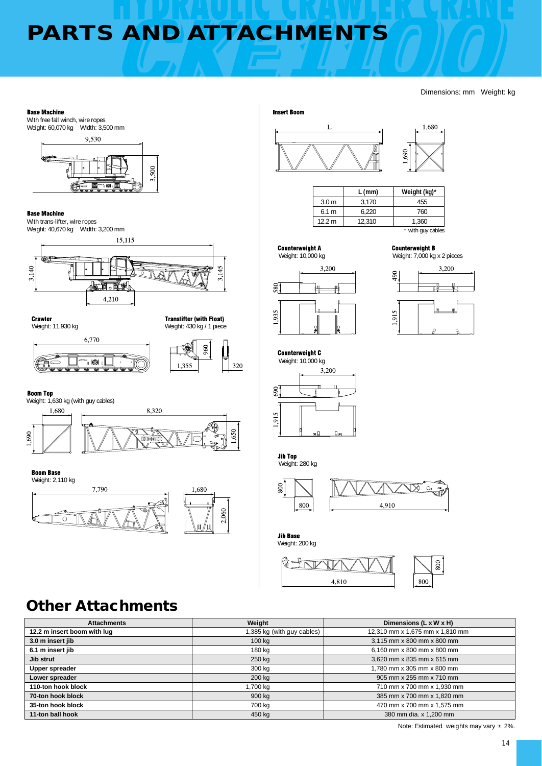# **PARTS AND ATTACHMENTS**

#### Dimensions: mm Weight: kg





| 3.170  | 455   |
|--------|-------|
|        |       |
| 6.220  | 760   |
| 12,310 | 1.360 |
|        |       |

**Counterweight A** 



3,200





1,680





800  $+$   $\sqrt{17}$ 4,810 800

# **Other Attachments**

| <b>Attachments</b>          | Weight                     | Dimensions (L x W x H)          |
|-----------------------------|----------------------------|---------------------------------|
| 12.2 m insert boom with lug | 1,385 kg (with guy cables) | 12,310 mm x 1,675 mm x 1,810 mm |
| 3.0 m insert jib            | 100 kg                     | 3,115 mm x 800 mm x 800 mm      |
| 6.1 m insert jib            | 180 kg                     | 6,160 mm x 800 mm x 800 mm      |
| Jib strut                   | 250 kg                     | 3,620 mm x 835 mm x 615 mm      |
| Upper spreader              | 300 kg                     | 1.780 mm x 305 mm x 800 mm      |
| Lower spreader              | 200 kg                     | 905 mm x 255 mm x 710 mm        |
| 110-ton hook block          | 1,700 kg                   | 710 mm x 700 mm x 1,930 mm      |
| 70-ton hook block           | 900 kg                     | 385 mm x 700 mm x 1,820 mm      |
| 35-ton hook block           | 700 kg                     | 470 mm x 700 mm x 1,575 mm      |
| 11-ton ball hook            | 450 kg                     | 380 mm dia. x 1,200 mm          |

Note: Estimated weights may vary ± 2%.